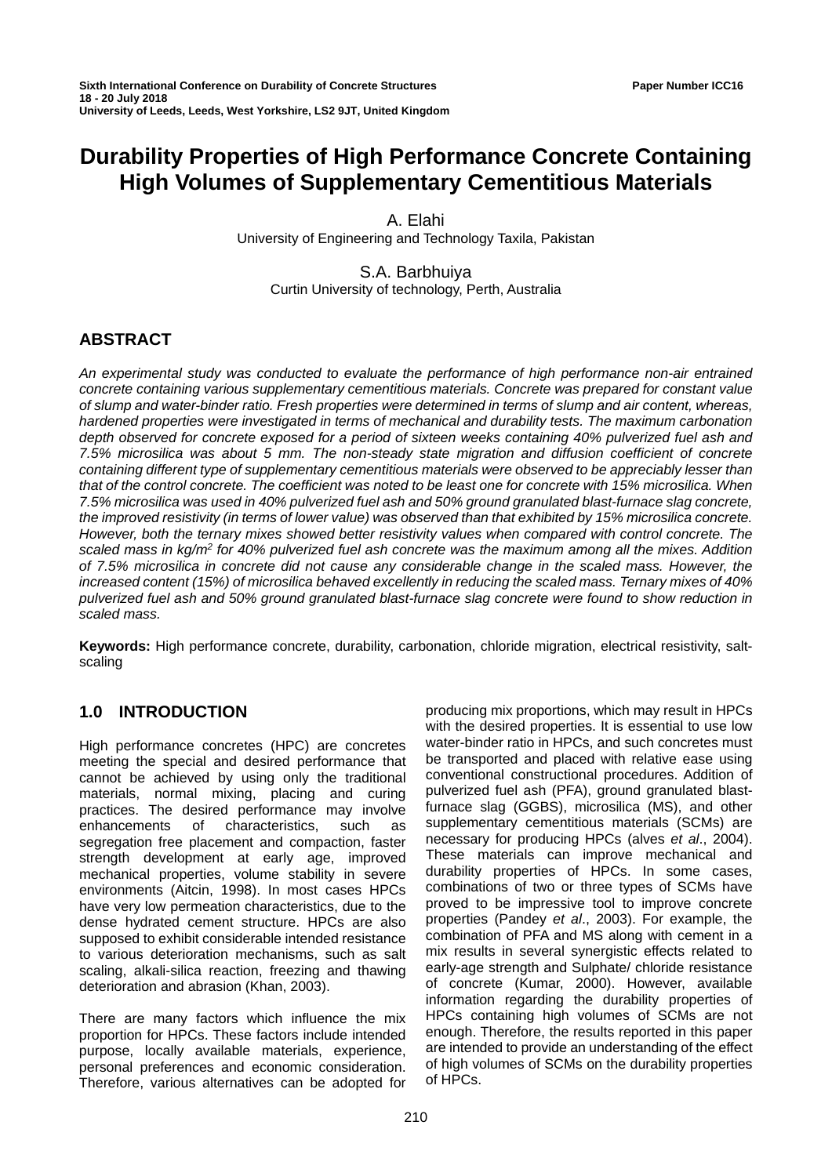# **Durability Properties of High Performance Concrete Containing High Volumes of Supplementary Cementitious Materials**

A. Elahi University of Engineering and Technology Taxila, Pakistan

S.A. Barbhuiya Curtin University of technology, Perth, Australia

# **ABSTRACT**

*An experimental study was conducted to evaluate the performance of high performance non-air entrained concrete containing various supplementary cementitious materials. Concrete was prepared for constant value of slump and water-binder ratio. Fresh properties were determined in terms of slump and air content, whereas, hardened properties were investigated in terms of mechanical and durability tests. The maximum carbonation depth observed for concrete exposed for a period of sixteen weeks containing 40% pulverized fuel ash and 7.5% microsilica was about 5 mm. The non-steady state migration and diffusion coefficient of concrete containing different type of supplementary cementitious materials were observed to be appreciably lesser than that of the control concrete. The coefficient was noted to be least one for concrete with 15% microsilica. When 7.5% microsilica was used in 40% pulverized fuel ash and 50% ground granulated blast-furnace slag concrete, the improved resistivity (in terms of lower value) was observed than that exhibited by 15% microsilica concrete. However, both the ternary mixes showed better resistivity values when compared with control concrete. The scaled mass in kg/m2 for 40% pulverized fuel ash concrete was the maximum among all the mixes. Addition of 7.5% microsilica in concrete did not cause any considerable change in the scaled mass. However, the increased content (15%) of microsilica behaved excellently in reducing the scaled mass. Ternary mixes of 40% pulverized fuel ash and 50% ground granulated blast-furnace slag concrete were found to show reduction in scaled mass.*

**Keywords:** High performance concrete, durability, carbonation, chloride migration, electrical resistivity, saltscaling

# **1.0 INTRODUCTION**

High performance concretes (HPC) are concretes meeting the special and desired performance that cannot be achieved by using only the traditional materials, normal mixing, placing and curing practices. The desired performance may involve enhancements of characteristics, such as segregation free placement and compaction, faster strength development at early age, improved mechanical properties, volume stability in severe environments (Aitcin, 1998). In most cases HPCs have very low permeation characteristics, due to the dense hydrated cement structure. HPCs are also supposed to exhibit considerable intended resistance to various deterioration mechanisms, such as salt scaling, alkali-silica reaction, freezing and thawing deterioration and abrasion (Khan, 2003).

There are many factors which influence the mix proportion for HPCs. These factors include intended purpose, locally available materials, experience, personal preferences and economic consideration. Therefore, various alternatives can be adopted for

producing mix proportions, which may result in HPCs with the desired properties. It is essential to use low water-binder ratio in HPCs, and such concretes must be transported and placed with relative ease using conventional constructional procedures. Addition of pulverized fuel ash (PFA), ground granulated blastfurnace slag (GGBS), microsilica (MS), and other supplementary cementitious materials (SCMs) are necessary for producing HPCs (alves *et al*., 2004). These materials can improve mechanical and durability properties of HPCs. In some cases, combinations of two or three types of SCMs have proved to be impressive tool to improve concrete properties (Pandey *et al*., 2003). For example, the combination of PFA and MS along with cement in a mix results in several synergistic effects related to early-age strength and Sulphate/ chloride resistance of concrete (Kumar, 2000). However, available information regarding the durability properties of HPCs containing high volumes of SCMs are not enough. Therefore, the results reported in this paper are intended to provide an understanding of the effect of high volumes of SCMs on the durability properties of HPCs.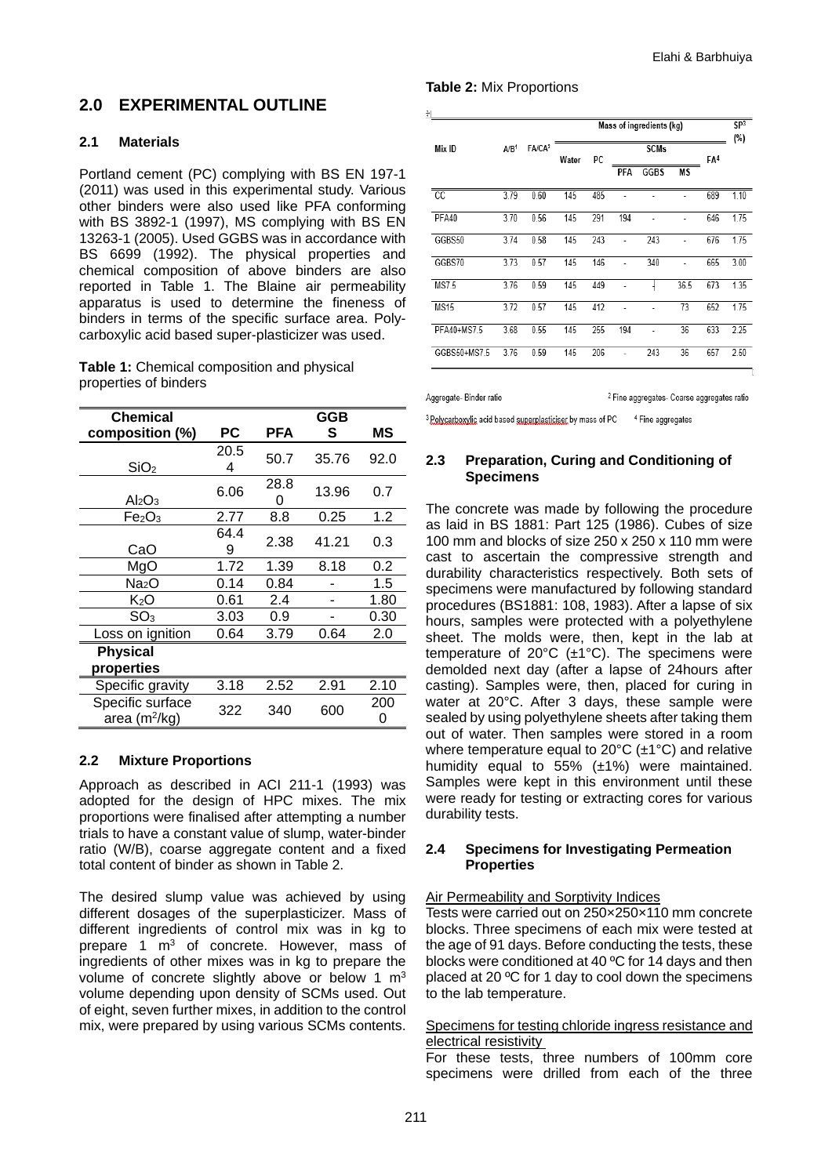# **2.0 EXPERIMENTAL OUTLINE**

# **2.1 Materials**

Portland cement (PC) complying with BS EN 197-1 (2011) was used in this experimental study. Various other binders were also used like PFA conforming with BS 3892-1 (1997), MS complying with BS EN 13263-1 (2005). Used GGBS was in accordance with BS 6699 (1992). The physical properties and chemical composition of above binders are also reported in Table 1. The Blaine air permeability apparatus is used to determine the fineness of binders in terms of the specific surface area. Polycarboxylic acid based super-plasticizer was used.

**Table 1:** Chemical composition and physical properties of binders

| <b>Chemical</b>                     |           |           | GGB   |          |
|-------------------------------------|-----------|-----------|-------|----------|
| composition (%)                     | PС        | PFA       | S     | MS       |
| SiO <sub>2</sub>                    | 20.5<br>4 | 50.7      | 35.76 | 92.0     |
| Al <sub>2</sub> O <sub>3</sub>      | 6.06      | 28.8<br>0 | 13.96 | 0.7      |
| Fe <sub>2</sub> O <sub>3</sub>      | 2.77      | 8.8       | 0.25  | 1.2      |
| CaO                                 | 64.4<br>9 | 2.38      | 41.21 | 0.3      |
| MgO                                 | 1.72      | 1.39      | 8.18  | 0.2      |
| Na <sub>2</sub> O                   | 0.14      | 0.84      |       | 1.5      |
| $K_2O$                              | 0.61      | 2.4       |       | 1.80     |
| SO <sub>3</sub>                     | 3.03      | 0.9       |       | 0.30     |
| Loss on ignition                    | 0.64      | 3.79      | 0.64  | 2.0      |
| <b>Physical</b><br>properties       |           |           |       |          |
| Specific gravity                    | 3.18      | 2.52      | 2.91  | 2.10     |
| Specific surface<br>area $(m^2/kg)$ | 322       | 340       | 600   | 200<br>0 |

#### **2.2 Mixture Proportions**

Approach as described in ACI 211-1 (1993) was adopted for the design of HPC mixes. The mix proportions were finalised after attempting a number trials to have a constant value of slump, water-binder ratio (W/B), coarse aggregate content and a fixed total content of binder as shown in Table 2.

The desired slump value was achieved by using different dosages of the superplasticizer. Mass of different ingredients of control mix was in kg to prepare 1 m<sup>3</sup> of concrete. However, mass of ingredients of other mixes was in kg to prepare the volume of concrete slightly above or below 1  $m<sup>3</sup>$ volume depending upon density of SCMs used. Out of eight, seven further mixes, in addition to the control mix, were prepared by using various SCMs contents.

# **Table 2:** Mix Proportions

|              |                  |                    | Mass of ingredients (kg) |     |     |             |      | SP <sup>3</sup><br>(%) |      |
|--------------|------------------|--------------------|--------------------------|-----|-----|-------------|------|------------------------|------|
| Mix ID       | A/B <sup>1</sup> | FA/CA <sup>2</sup> | Water                    | PC  |     | <b>SCMs</b> |      | FA <sup>4</sup>        |      |
|              |                  |                    |                          |     | PFA | <b>GGBS</b> | МS   |                        |      |
| CС           | 3.79             | 0.60               | 145                      | 485 |     |             |      | 689                    | 1.10 |
| PFA40        | 3.70             | 0.56               | 145                      | 291 | 194 |             |      | 646                    | 1.75 |
| GGBS50       | 3.74             | 0.58               | 145                      | 243 | ÷,  | 243         | ÷,   | 676                    | 1.75 |
| GGBS70       | 3.73             | 0.57               | 145                      | 146 |     | 340         |      | 665                    | 3.00 |
| <b>MS7.5</b> | 3.76             | 0.59               | 145                      | 449 |     |             | 36.5 | 673                    | 1.35 |
| <b>MS15</b>  | 3.72             | 0.57               | 145                      | 412 |     |             | 73   | 652                    | 1.75 |
| PFA40+MS7.5  | 3.68             | 0.55               | 145                      | 255 | 194 |             | 36   | 633                    | 2.25 |
| GGBS50+MS7.5 | 3.76             | 0.59               | 145                      | 206 | ٠   | 243         | 36   | 657                    | 2.50 |

Aggregate-Binder ratio

<sup>2</sup> Fine aggregates- Coarse aggregates ratio

<sup>3</sup> Polycarboxylic acid based superplasticiser by mass of PC <sup>4</sup> Fine aggregates

# **2.3 Preparation, Curing and Conditioning of Specimens**

The concrete was made by following the procedure as laid in BS 1881: Part 125 (1986). Cubes of size 100 mm and blocks of size 250 x 250 x 110 mm were cast to ascertain the compressive strength and durability characteristics respectively. Both sets of specimens were manufactured by following standard procedures (BS1881: 108, 1983). After a lapse of six hours, samples were protected with a polyethylene sheet. The molds were, then, kept in the lab at temperature of 20°C (±1°C). The specimens were demolded next day (after a lapse of 24hours after casting). Samples were, then, placed for curing in water at 20°C. After 3 days, these sample were sealed by using polyethylene sheets after taking them out of water. Then samples were stored in a room where temperature equal to 20°C (±1°C) and relative humidity equal to 55% (±1%) were maintained. Samples were kept in this environment until these were ready for testing or extracting cores for various durability tests.

# **2.4 Specimens for Investigating Permeation Properties**

#### Air Permeability and Sorptivity Indices

Tests were carried out on 250×250×110 mm concrete blocks. Three specimens of each mix were tested at the age of 91 days. Before conducting the tests, these blocks were conditioned at 40 ºC for 14 days and then placed at 20 ºC for 1 day to cool down the specimens to the lab temperature.

#### Specimens for testing chloride ingress resistance and electrical resistivity

For these tests, three numbers of 100mm core specimens were drilled from each of the three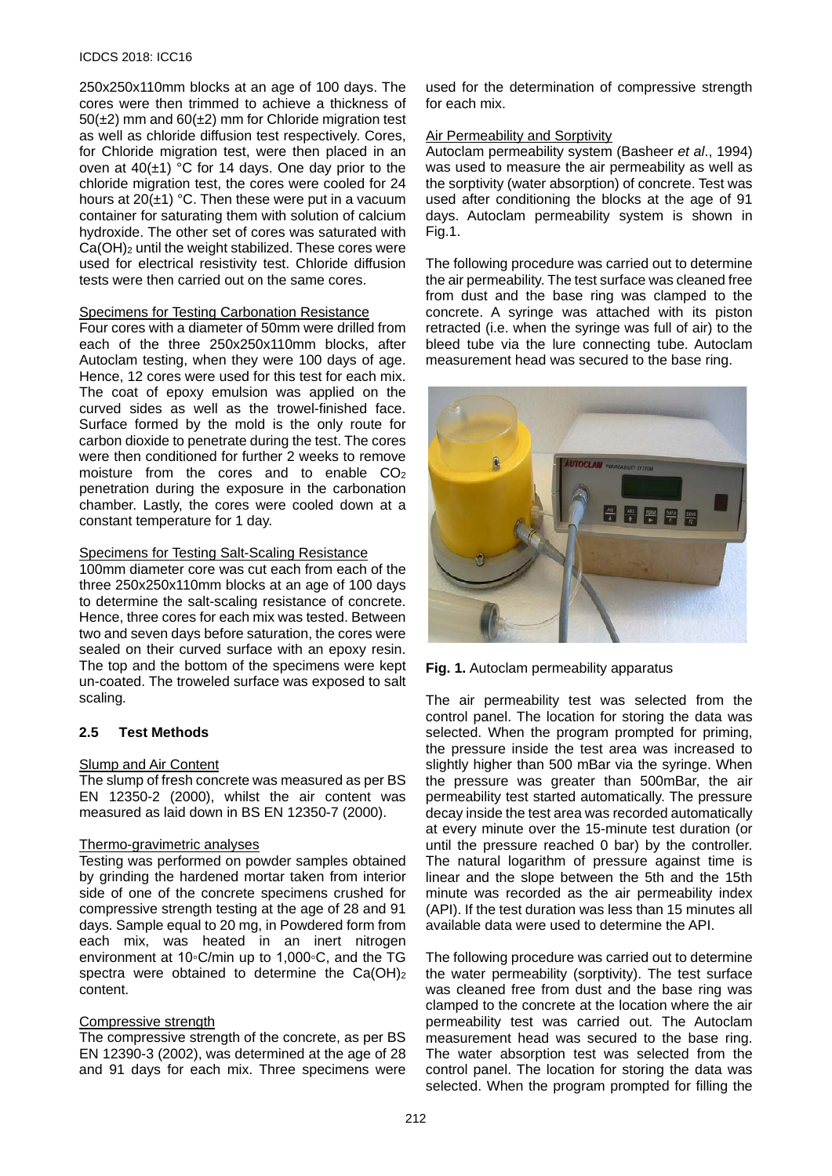#### ICDCS 2018: ICC16

250x250x110mm blocks at an age of 100 days. The cores were then trimmed to achieve a thickness of  $50(\pm2)$  mm and  $60(\pm2)$  mm for Chloride migration test as well as chloride diffusion test respectively. Cores, for Chloride migration test, were then placed in an oven at  $40(\pm 1)$  °C for 14 days. One day prior to the chloride migration test, the cores were cooled for 24 hours at  $20(\pm 1)$  °C. Then these were put in a vacuum container for saturating them with solution of calcium hydroxide. The other set of cores was saturated with Ca(OH)<sub>2</sub> until the weight stabilized. These cores were used for electrical resistivity test. Chloride diffusion tests were then carried out on the same cores.

#### Specimens for Testing Carbonation Resistance

Four cores with a diameter of 50mm were drilled from each of the three 250x250x110mm blocks, after Autoclam testing, when they were 100 days of age. Hence, 12 cores were used for this test for each mix. The coat of epoxy emulsion was applied on the curved sides as well as the trowel-finished face. Surface formed by the mold is the only route for carbon dioxide to penetrate during the test. The cores were then conditioned for further 2 weeks to remove moisture from the cores and to enable CO2 penetration during the exposure in the carbonation chamber. Lastly, the cores were cooled down at a constant temperature for 1 day.

#### Specimens for Testing Salt-Scaling Resistance

100mm diameter core was cut each from each of the three 250x250x110mm blocks at an age of 100 days to determine the salt-scaling resistance of concrete. Hence, three cores for each mix was tested. Between two and seven days before saturation, the cores were sealed on their curved surface with an epoxy resin. The top and the bottom of the specimens were kept un-coated. The troweled surface was exposed to salt scaling*.*

# **2.5 Test Methods**

# Slump and Air Content

The slump of fresh concrete was measured as per BS EN 12350-2 (2000), whilst the air content was measured as laid down in BS EN 12350-7 (2000).

#### Thermo-gravimetric analyses

Testing was performed on powder samples obtained by grinding the hardened mortar taken from interior side of one of the concrete specimens crushed for compressive strength testing at the age of 28 and 91 days. Sample equal to 20 mg, in Powdered form from each mix, was heated in an inert nitrogen environment at 10◦C/min up to 1,000◦C, and the TG spectra were obtained to determine the  $Ca(OH)_2$ content.

# Compressive strength

The compressive strength of the concrete, as per BS EN 12390-3 (2002), was determined at the age of 28 and 91 days for each mix. Three specimens were

used for the determination of compressive strength for each mix.

#### Air Permeability and Sorptivity

Autoclam permeability system (Basheer *et al*., 1994) was used to measure the air permeability as well as the sorptivity (water absorption) of concrete. Test was used after conditioning the blocks at the age of 91 days. Autoclam permeability system is shown in Fig.1.

The following procedure was carried out to determine the air permeability. The test surface was cleaned free from dust and the base ring was clamped to the concrete. A syringe was attached with its piston retracted (i.e. when the syringe was full of air) to the bleed tube via the lure connecting tube. Autoclam measurement head was secured to the base ring.





The air permeability test was selected from the control panel. The location for storing the data was selected. When the program prompted for priming, the pressure inside the test area was increased to slightly higher than 500 mBar via the syringe. When the pressure was greater than 500mBar, the air permeability test started automatically. The pressure decay inside the test area was recorded automatically at every minute over the 15-minute test duration (or until the pressure reached 0 bar) by the controller. The natural logarithm of pressure against time is linear and the slope between the 5th and the 15th minute was recorded as the air permeability index (API). If the test duration was less than 15 minutes all available data were used to determine the API.

The following procedure was carried out to determine the water permeability (sorptivity). The test surface was cleaned free from dust and the base ring was clamped to the concrete at the location where the air permeability test was carried out. The Autoclam measurement head was secured to the base ring. The water absorption test was selected from the control panel. The location for storing the data was selected. When the program prompted for filling the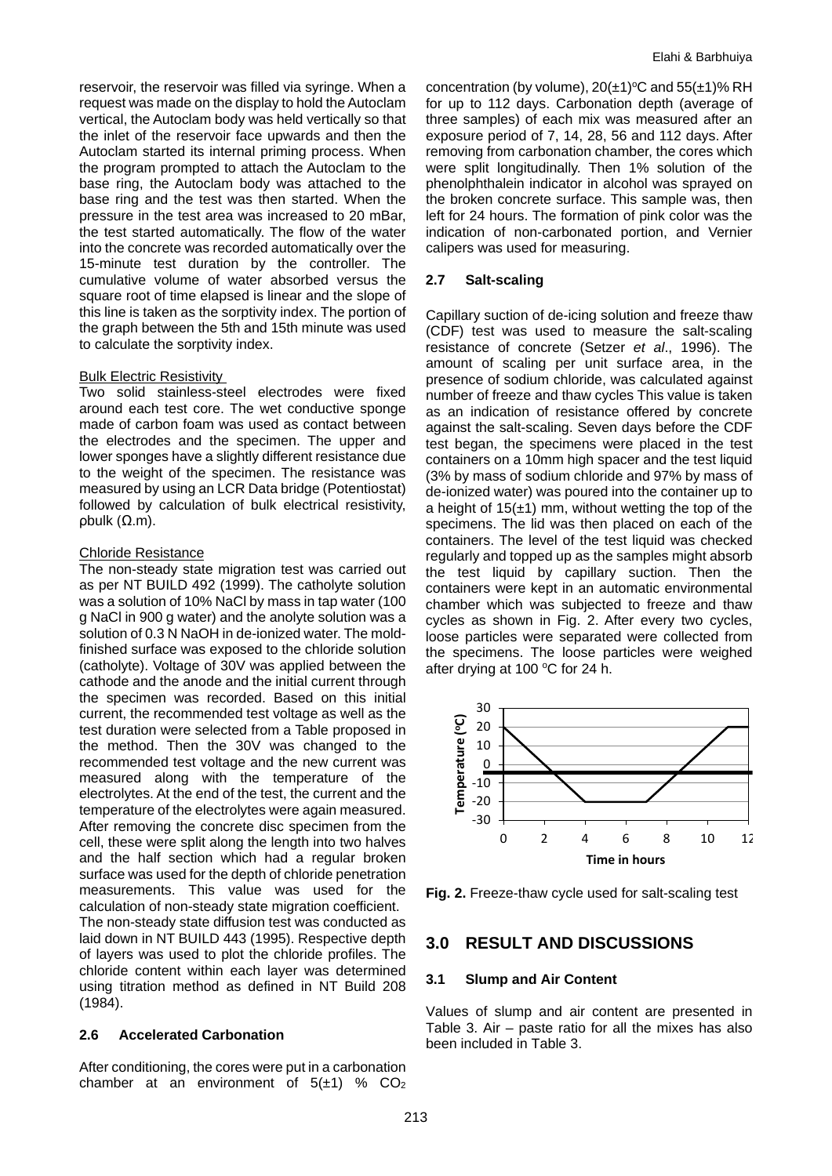reservoir, the reservoir was filled via syringe. When a request was made on the display to hold the Autoclam vertical, the Autoclam body was held vertically so that the inlet of the reservoir face upwards and then the Autoclam started its internal priming process. When the program prompted to attach the Autoclam to the base ring, the Autoclam body was attached to the base ring and the test was then started. When the pressure in the test area was increased to 20 mBar, the test started automatically. The flow of the water into the concrete was recorded automatically over the 15-minute test duration by the controller. The cumulative volume of water absorbed versus the square root of time elapsed is linear and the slope of this line is taken as the sorptivity index. The portion of the graph between the 5th and 15th minute was used to calculate the sorptivity index.

#### Bulk Electric Resistivity

Two solid stainless-steel electrodes were fixed around each test core. The wet conductive sponge made of carbon foam was used as contact between the electrodes and the specimen. The upper and lower sponges have a slightly different resistance due to the weight of the specimen. The resistance was measured by using an LCR Data bridge (Potentiostat) followed by calculation of bulk electrical resistivity, ρbulk (Ω.m).

#### Chloride Resistance

The non-steady state migration test was carried out as per NT BUILD 492 (1999). The catholyte solution was a solution of 10% NaCl by mass in tap water (100 g NaCl in 900 g water) and the anolyte solution was a solution of 0.3 N NaOH in de-ionized water. The moldfinished surface was exposed to the chloride solution (catholyte). Voltage of 30V was applied between the cathode and the anode and the initial current through the specimen was recorded. Based on this initial current, the recommended test voltage as well as the test duration were selected from a Table proposed in the method. Then the 30V was changed to the recommended test voltage and the new current was measured along with the temperature of the electrolytes. At the end of the test, the current and the temperature of the electrolytes were again measured. After removing the concrete disc specimen from the cell, these were split along the length into two halves and the half section which had a regular broken surface was used for the depth of chloride penetration measurements. This value was used for the calculation of non-steady state migration coefficient. The non-steady state diffusion test was conducted as laid down in NT BUILD 443 (1995). Respective depth of layers was used to plot the chloride profiles. The chloride content within each layer was determined using titration method as defined in NT Build 208 (1984).

# **2.6 Accelerated Carbonation**

After conditioning, the cores were put in a carbonation chamber at an environment of  $5(\pm 1)$  % CO<sub>2</sub>

concentration (by volume),  $20(\pm 1)$ <sup>o</sup>C and  $55(\pm 1)$ % RH for up to 112 days. Carbonation depth (average of three samples) of each mix was measured after an exposure period of 7, 14, 28, 56 and 112 days. After removing from carbonation chamber, the cores which were split longitudinally. Then 1% solution of the phenolphthalein indicator in alcohol was sprayed on the broken concrete surface. This sample was, then left for 24 hours. The formation of pink color was the indication of non-carbonated portion, and Vernier calipers was used for measuring.

# **2.7 Salt-scaling**

Capillary suction of de-icing solution and freeze thaw (CDF) test was used to measure the salt-scaling resistance of concrete (Setzer *et al*., 1996). The amount of scaling per unit surface area, in the presence of sodium chloride, was calculated against number of freeze and thaw cycles This value is taken as an indication of resistance offered by concrete against the salt-scaling. Seven days before the CDF test began, the specimens were placed in the test containers on a 10mm high spacer and the test liquid (3% by mass of sodium chloride and 97% by mass of de-ionized water) was poured into the container up to a height of  $15(\pm 1)$  mm, without wetting the top of the specimens. The lid was then placed on each of the containers. The level of the test liquid was checked regularly and topped up as the samples might absorb the test liquid by capillary suction. Then the containers were kept in an automatic environmental chamber which was subjected to freeze and thaw cycles as shown in Fig. 2. After every two cycles, loose particles were separated were collected from the specimens. The loose particles were weighed after drying at 100 $\,^{\circ}$ C for 24 h.



**Fig. 2.** Freeze-thaw cycle used for salt-scaling test

# **3.0 RESULT AND DISCUSSIONS**

#### **3.1 Slump and Air Content**

Values of slump and air content are presented in Table 3. Air – paste ratio for all the mixes has also been included in Table 3.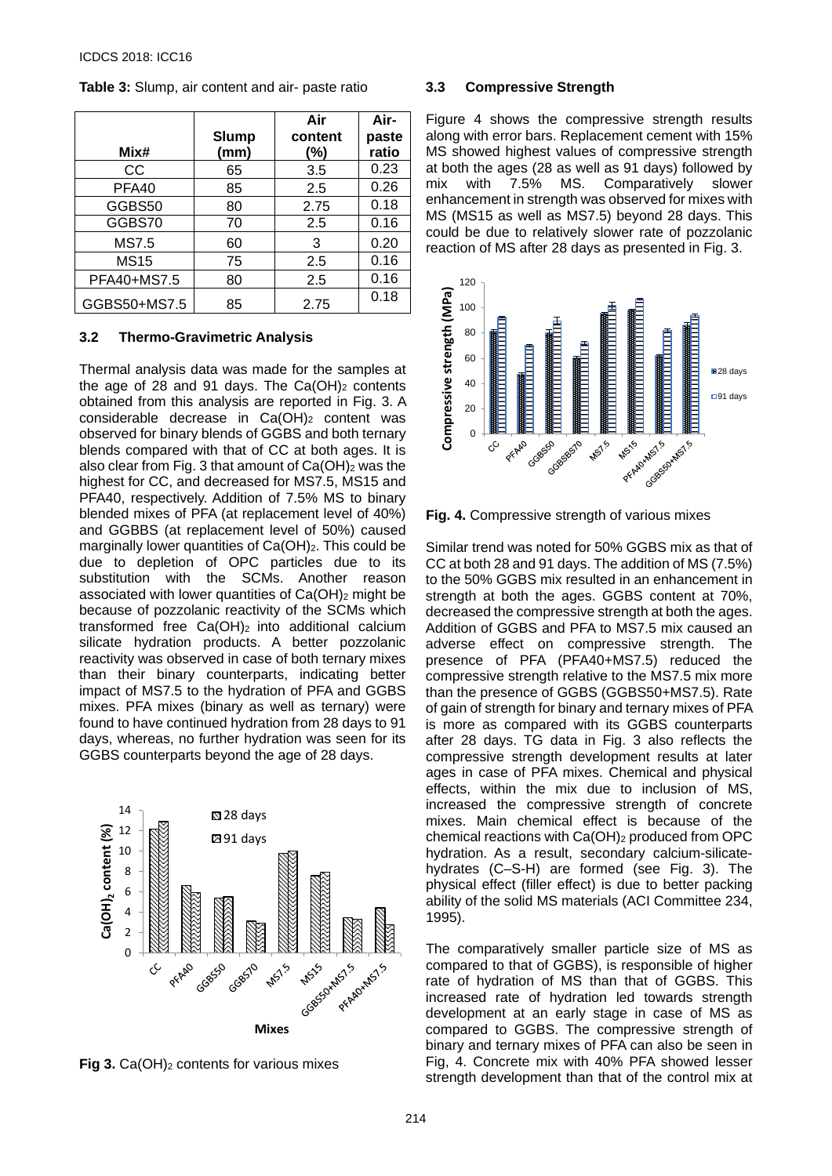|              |              | Air     | Air-  |
|--------------|--------------|---------|-------|
|              | <b>Slump</b> | content | paste |
| Mix#         | (mm)         | (%)     | ratio |
| CС           | 65           | 3.5     | 0.23  |
| PFA40        | 85           | 2.5     | 0.26  |
| GGBS50       | 80           | 2.75    | 0.18  |
| GGBS70       | 70           | 2.5     | 0.16  |
| <b>MS7.5</b> | 60           | 3       | 0.20  |
| <b>MS15</b>  | 75           | 2.5     | 0.16  |
| PFA40+MS7.5  | 80           | 2.5     | 0.16  |
| GGBS50+MS7.5 | 85           | 2.75    | 0.18  |

**Table 3:** Slump, air content and air- paste ratio

#### **3.2 Thermo-Gravimetric Analysis**

Thermal analysis data was made for the samples at the age of 28 and 91 days. The  $Ca(OH)_2$  contents obtained from this analysis are reported in Fig. 3. A considerable decrease in Ca(OH)<sub>2</sub> content was observed for binary blends of GGBS and both ternary blends compared with that of CC at both ages. It is also clear from Fig. 3 that amount of  $Ca(OH)_2$  was the highest for CC, and decreased for MS7.5, MS15 and PFA40, respectively. Addition of 7.5% MS to binary blended mixes of PFA (at replacement level of 40%) and GGBBS (at replacement level of 50%) caused marginally lower quantities of Ca(OH)<sub>2</sub>. This could be due to depletion of OPC particles due to its substitution with the SCMs. Another reason associated with lower quantities of Ca(OH)2 might be because of pozzolanic reactivity of the SCMs which transformed free Ca(OH)2 into additional calcium silicate hydration products. A better pozzolanic reactivity was observed in case of both ternary mixes than their binary counterparts, indicating better impact of MS7.5 to the hydration of PFA and GGBS mixes. PFA mixes (binary as well as ternary) were found to have continued hydration from 28 days to 91 days, whereas, no further hydration was seen for its GGBS counterparts beyond the age of 28 days.



**Fig 3.** Ca(OH)<sub>2</sub> contents for various mixes

# **3.3 Compressive Strength**

Figure 4 shows the compressive strength results along with error bars. Replacement cement with 15% MS showed highest values of compressive strength at both the ages (28 as well as 91 days) followed by mix with 7.5% MS. Comparatively slower enhancement in strength was observed for mixes with MS (MS15 as well as MS7.5) beyond 28 days. This could be due to relatively slower rate of pozzolanic reaction of MS after 28 days as presented in Fig. 3.



**Fig. 4.** Compressive strength of various mixes

Similar trend was noted for 50% GGBS mix as that of CC at both 28 and 91 days. The addition of MS (7.5%) to the 50% GGBS mix resulted in an enhancement in strength at both the ages. GGBS content at 70%, decreased the compressive strength at both the ages. Addition of GGBS and PFA to MS7.5 mix caused an adverse effect on compressive strength. The presence of PFA (PFA40+MS7.5) reduced the compressive strength relative to the MS7.5 mix more than the presence of GGBS (GGBS50+MS7.5). Rate of gain of strength for binary and ternary mixes of PFA is more as compared with its GGBS counterparts after 28 days. TG data in Fig. 3 also reflects the compressive strength development results at later ages in case of PFA mixes. Chemical and physical effects, within the mix due to inclusion of MS, increased the compressive strength of concrete mixes. Main chemical effect is because of the chemical reactions with Ca(OH)2 produced from OPC hydration. As a result, secondary calcium-silicatehydrates (C–S-H) are formed (see Fig. 3). The physical effect (filler effect) is due to better packing ability of the solid MS materials (ACI Committee 234, 1995).

The comparatively smaller particle size of MS as compared to that of GGBS), is responsible of higher rate of hydration of MS than that of GGBS. This increased rate of hydration led towards strength development at an early stage in case of MS as compared to GGBS. The compressive strength of binary and ternary mixes of PFA can also be seen in Fig, 4. Concrete mix with 40% PFA showed lesser strength development than that of the control mix at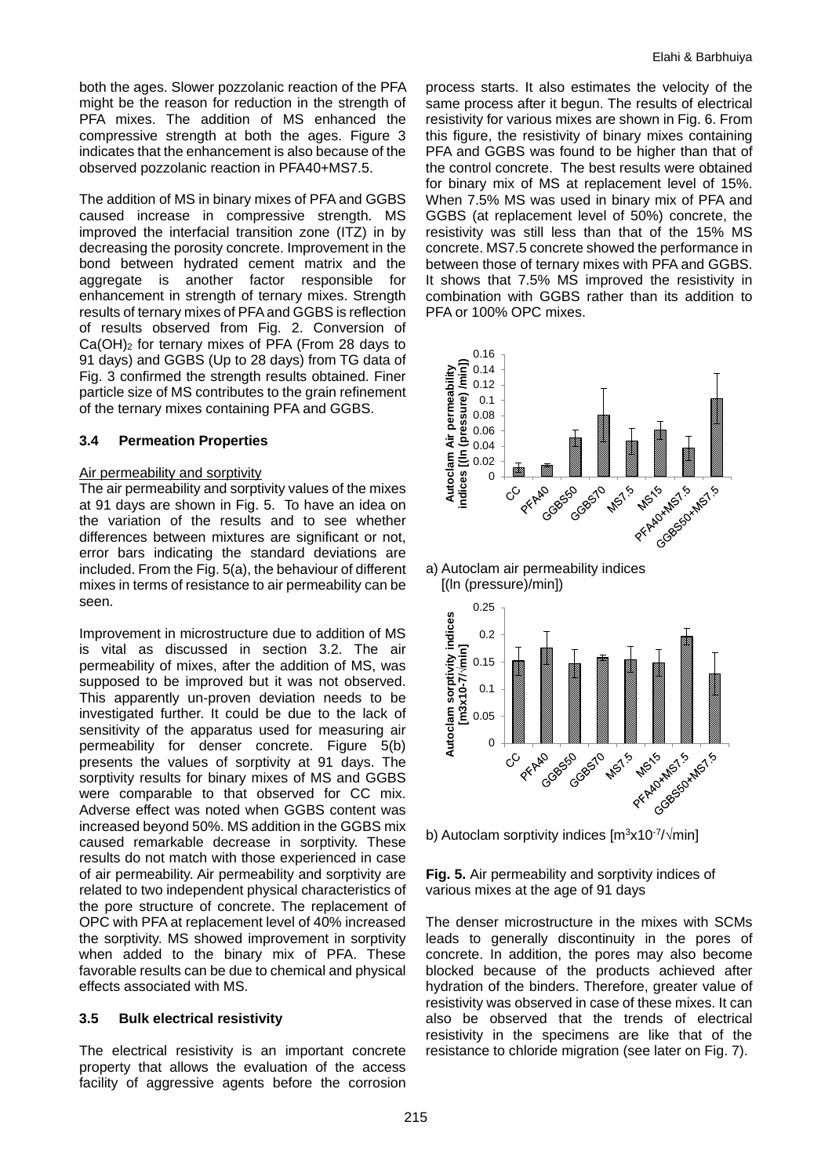both the ages. Slower pozzolanic reaction of the PFA might be the reason for reduction in the strength of PFA mixes. The addition of MS enhanced the compressive strength at both the ages. Figure 3 indicates that the enhancement is also because of the observed pozzolanic reaction in PFA40+MS7.5.

The addition of MS in binary mixes of PFA and GGBS caused increase in compressive strength. MS improved the interfacial transition zone (ITZ) in by decreasing the porosity concrete. Improvement in the bond between hydrated cement matrix and the aggregate is another factor responsible for enhancement in strength of ternary mixes. Strength results of ternary mixes of PFA and GGBS is reflection of results observed from Fig. 2. Conversion of Ca(OH)2 for ternary mixes of PFA (From 28 days to 91 days) and GGBS (Up to 28 days) from TG data of Fig. 3 confirmed the strength results obtained. Finer particle size of MS contributes to the grain refinement of the ternary mixes containing PFA and GGBS.

# **3.4 Permeation Properties**

# Air permeability and sorptivity

The air permeability and sorptivity values of the mixes at 91 days are shown in Fig. 5. To have an idea on the variation of the results and to see whether differences between mixtures are significant or not, error bars indicating the standard deviations are included. From the Fig. 5(a), the behaviour of different mixes in terms of resistance to air permeability can be seen.

Improvement in microstructure due to addition of MS is vital as discussed in section 3.2. The air permeability of mixes, after the addition of MS, was supposed to be improved but it was not observed. This apparently un-proven deviation needs to be investigated further. It could be due to the lack of sensitivity of the apparatus used for measuring air permeability for denser concrete. Figure 5(b) presents the values of sorptivity at 91 days. The sorptivity results for binary mixes of MS and GGBS were comparable to that observed for CC mix. Adverse effect was noted when GGBS content was increased beyond 50%. MS addition in the GGBS mix caused remarkable decrease in sorptivity. These results do not match with those experienced in case of air permeability. Air permeability and sorptivity are related to two independent physical characteristics of the pore structure of concrete. The replacement of OPC with PFA at replacement level of 40% increased the sorptivity. MS showed improvement in sorptivity when added to the binary mix of PFA. These favorable results can be due to chemical and physical effects associated with MS.

#### **3.5 Bulk electrical resistivity**

The electrical resistivity is an important concrete property that allows the evaluation of the access facility of aggressive agents before the corrosion process starts. It also estimates the velocity of the same process after it begun. The results of electrical resistivity for various mixes are shown in Fig. 6. From this figure, the resistivity of binary mixes containing PFA and GGBS was found to be higher than that of the control concrete. The best results were obtained for binary mix of MS at replacement level of 15%. When 7.5% MS was used in binary mix of PFA and GGBS (at replacement level of 50%) concrete, the resistivity was still less than that of the 15% MS concrete. MS7.5 concrete showed the performance in between those of ternary mixes with PFA and GGBS. It shows that 7.5% MS improved the resistivity in combination with GGBS rather than its addition to PFA or 100% OPC mixes.







b) Autoclam sorptivity indices  $\text{Im}^3x10^{-7}/\text{min}$ 

**Fig. 5.** Air permeability and sorptivity indices of various mixes at the age of 91 days

The denser microstructure in the mixes with SCMs leads to generally discontinuity in the pores of concrete. In addition, the pores may also become blocked because of the products achieved after hydration of the binders. Therefore, greater value of resistivity was observed in case of these mixes. It can also be observed that the trends of electrical resistivity in the specimens are like that of the resistance to chloride migration (see later on Fig. 7).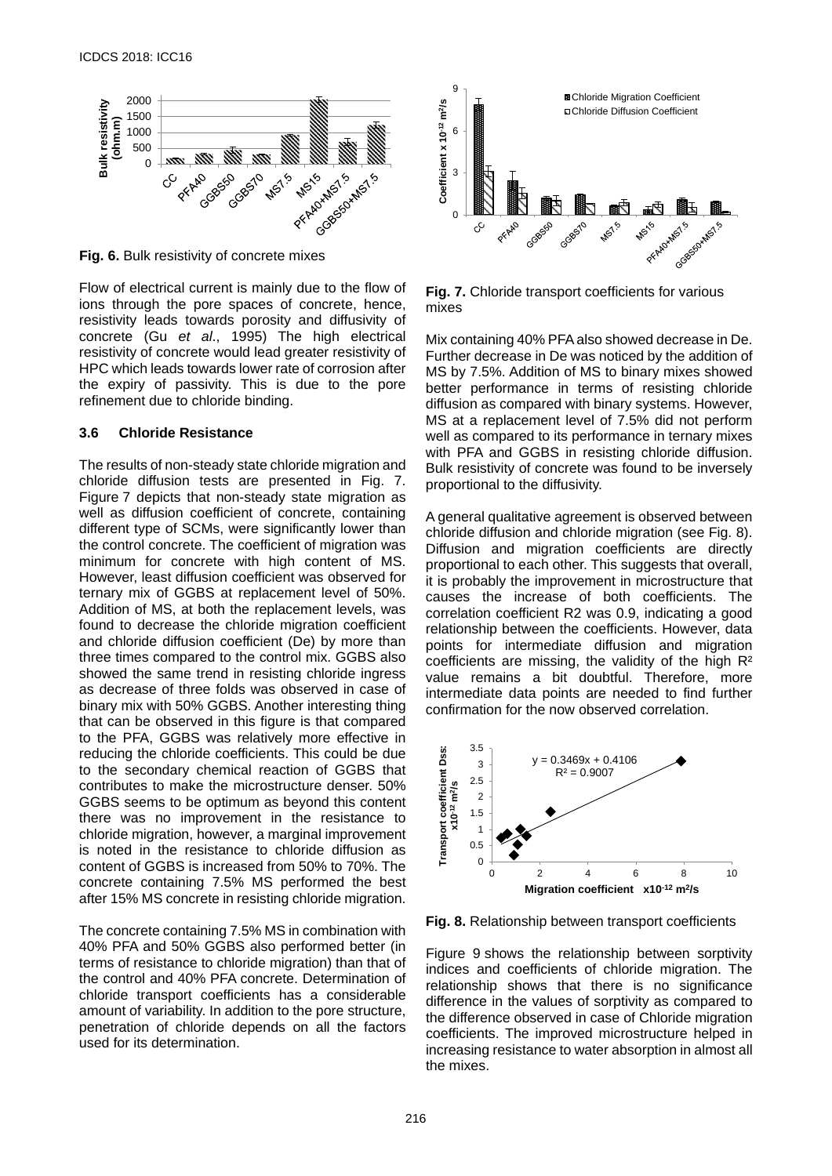

**Fig. 6.** Bulk resistivity of concrete mixes

Flow of electrical current is mainly due to the flow of ions through the pore spaces of concrete, hence, resistivity leads towards porosity and diffusivity of concrete (Gu *et al*., 1995) The high electrical resistivity of concrete would lead greater resistivity of HPC which leads towards lower rate of corrosion after the expiry of passivity. This is due to the pore refinement due to chloride binding.

#### **3.6 Chloride Resistance**

The results of non-steady state chloride migration and chloride diffusion tests are presented in Fig. 7. Figure 7 depicts that non-steady state migration as well as diffusion coefficient of concrete, containing different type of SCMs, were significantly lower than the control concrete. The coefficient of migration was minimum for concrete with high content of MS. However, least diffusion coefficient was observed for ternary mix of GGBS at replacement level of 50%. Addition of MS, at both the replacement levels, was found to decrease the chloride migration coefficient and chloride diffusion coefficient (De) by more than three times compared to the control mix. GGBS also showed the same trend in resisting chloride ingress as decrease of three folds was observed in case of binary mix with 50% GGBS. Another interesting thing that can be observed in this figure is that compared to the PFA, GGBS was relatively more effective in reducing the chloride coefficients. This could be due to the secondary chemical reaction of GGBS that contributes to make the microstructure denser. 50% GGBS seems to be optimum as beyond this content there was no improvement in the resistance to chloride migration, however, a marginal improvement is noted in the resistance to chloride diffusion as content of GGBS is increased from 50% to 70%. The concrete containing 7.5% MS performed the best after 15% MS concrete in resisting chloride migration.

The concrete containing 7.5% MS in combination with 40% PFA and 50% GGBS also performed better (in terms of resistance to chloride migration) than that of the control and 40% PFA concrete. Determination of chloride transport coefficients has a considerable amount of variability. In addition to the pore structure, penetration of chloride depends on all the factors used for its determination.



**Fig. 7.** Chloride transport coefficients for various mixes

Mix containing 40% PFA also showed decrease in De. Further decrease in De was noticed by the addition of MS by 7.5%. Addition of MS to binary mixes showed better performance in terms of resisting chloride diffusion as compared with binary systems. However, MS at a replacement level of 7.5% did not perform well as compared to its performance in ternary mixes with PFA and GGBS in resisting chloride diffusion. Bulk resistivity of concrete was found to be inversely proportional to the diffusivity.

A general qualitative agreement is observed between chloride diffusion and chloride migration (see Fig. 8). Diffusion and migration coefficients are directly proportional to each other. This suggests that overall, it is probably the improvement in microstructure that causes the increase of both coefficients. The correlation coefficient R2 was 0.9, indicating a good relationship between the coefficients. However, data points for intermediate diffusion and migration coefficients are missing, the validity of the high R² value remains a bit doubtful. Therefore, more intermediate data points are needed to find further confirmation for the now observed correlation.



**Fig. 8.** Relationship between transport coefficients

Figure 9 shows the relationship between sorptivity indices and coefficients of chloride migration. The relationship shows that there is no significance difference in the values of sorptivity as compared to the difference observed in case of Chloride migration coefficients. The improved microstructure helped in increasing resistance to water absorption in almost all the mixes.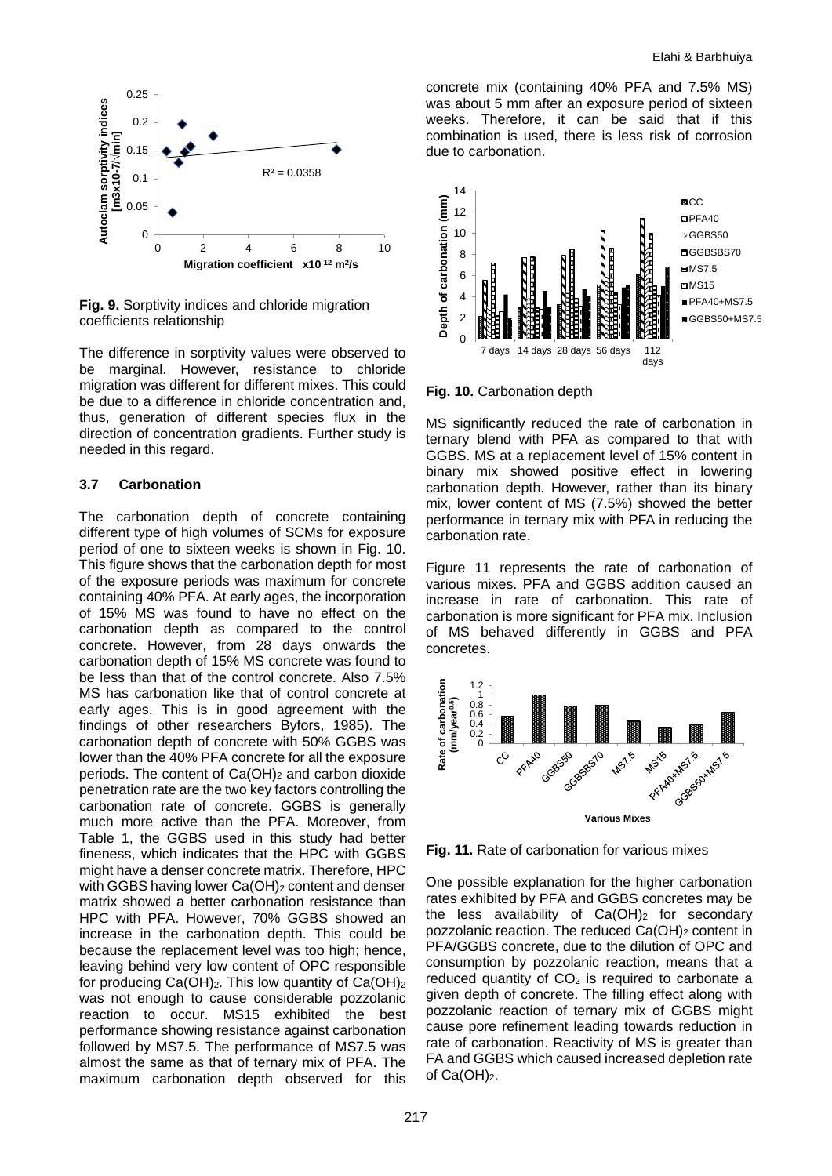

**Fig. 9.** Sorptivity indices and chloride migration coefficients relationship

The difference in sorptivity values were observed to be marginal. However, resistance to chloride migration was different for different mixes. This could be due to a difference in chloride concentration and, thus, generation of different species flux in the direction of concentration gradients. Further study is needed in this regard.

# **3.7 Carbonation**

The carbonation depth of concrete containing different type of high volumes of SCMs for exposure period of one to sixteen weeks is shown in Fig. 10. This figure shows that the carbonation depth for most of the exposure periods was maximum for concrete containing 40% PFA. At early ages, the incorporation of 15% MS was found to have no effect on the carbonation depth as compared to the control concrete. However, from 28 days onwards the carbonation depth of 15% MS concrete was found to be less than that of the control concrete. Also 7.5% MS has carbonation like that of control concrete at early ages. This is in good agreement with the findings of other researchers Byfors, 1985). The carbonation depth of concrete with 50% GGBS was lower than the 40% PFA concrete for all the exposure periods. The content of Ca(OH)2 and carbon dioxide penetration rate are the two key factors controlling the carbonation rate of concrete. GGBS is generally much more active than the PFA. Moreover, from Table 1, the GGBS used in this study had better fineness, which indicates that the HPC with GGBS might have a denser concrete matrix. Therefore, HPC with GGBS having lower Ca(OH)<sub>2</sub> content and denser matrix showed a better carbonation resistance than HPC with PFA. However, 70% GGBS showed an increase in the carbonation depth. This could be because the replacement level was too high; hence, leaving behind very low content of OPC responsible for producing  $Ca(OH)_2$ . This low quantity of  $Ca(OH)_2$ was not enough to cause considerable pozzolanic reaction to occur. MS15 exhibited the best performance showing resistance against carbonation followed by MS7.5. The performance of MS7.5 was almost the same as that of ternary mix of PFA. The maximum carbonation depth observed for this

concrete mix (containing 40% PFA and 7.5% MS) was about 5 mm after an exposure period of sixteen weeks. Therefore, it can be said that if this combination is used, there is less risk of corrosion due to carbonation.



**Fig. 10.** Carbonation depth

MS significantly reduced the rate of carbonation in ternary blend with PFA as compared to that with GGBS. MS at a replacement level of 15% content in binary mix showed positive effect in lowering carbonation depth. However, rather than its binary mix, lower content of MS (7.5%) showed the better performance in ternary mix with PFA in reducing the carbonation rate.

Figure 11 represents the rate of carbonation of various mixes. PFA and GGBS addition caused an increase in rate of carbonation. This rate of carbonation is more significant for PFA mix. Inclusion of MS behaved differently in GGBS and PFA concretes.



**Fig. 11.** Rate of carbonation for various mixes

One possible explanation for the higher carbonation rates exhibited by PFA and GGBS concretes may be the less availability of  $Ca(OH)_2$  for secondary pozzolanic reaction. The reduced Ca(OH)<sub>2</sub> content in PFA/GGBS concrete, due to the dilution of OPC and consumption by pozzolanic reaction, means that a reduced quantity of  $CO<sub>2</sub>$  is required to carbonate a given depth of concrete. The filling effect along with pozzolanic reaction of ternary mix of GGBS might cause pore refinement leading towards reduction in rate of carbonation. Reactivity of MS is greater than FA and GGBS which caused increased depletion rate of  $Ca(OH)_2$ .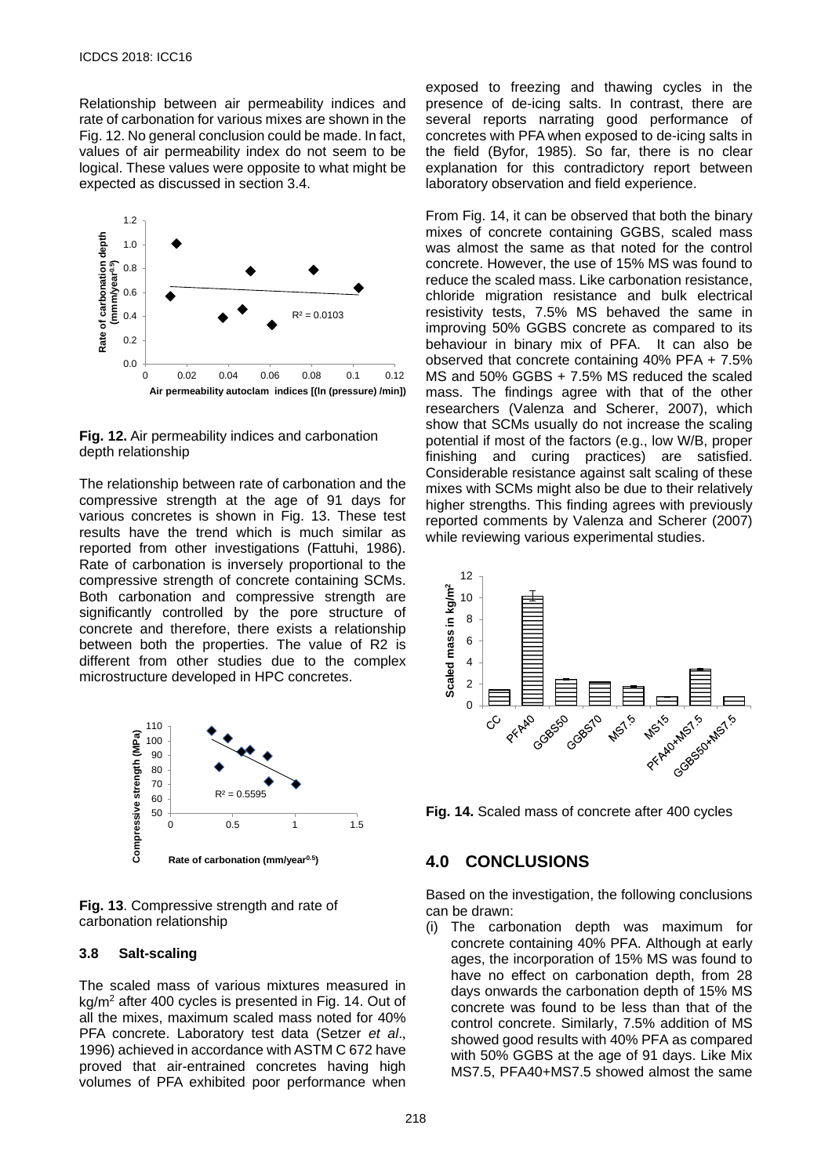Relationship between air permeability indices and rate of carbonation for various mixes are shown in the Fig. 12. No general conclusion could be made. In fact, values of air permeability index do not seem to be logical. These values were opposite to what might be expected as discussed in section 3.4.



**Fig. 12.** Air permeability indices and carbonation depth relationship

The relationship between rate of carbonation and the compressive strength at the age of 91 days for various concretes is shown in Fig. 13. These test results have the trend which is much similar as reported from other investigations (Fattuhi, 1986). Rate of carbonation is inversely proportional to the compressive strength of concrete containing SCMs. Both carbonation and compressive strength are significantly controlled by the pore structure of concrete and therefore, there exists a relationship between both the properties. The value of R2 is different from other studies due to the complex microstructure developed in HPC concretes.



**Fig. 13**. Compressive strength and rate of carbonation relationship

#### **3.8 Salt-scaling**

The scaled mass of various mixtures measured in kg/m2 after 400 cycles is presented in Fig. 14. Out of all the mixes, maximum scaled mass noted for 40% PFA concrete. Laboratory test data (Setzer *et al*., 1996) achieved in accordance with ASTM C 672 have proved that air-entrained concretes having high volumes of PFA exhibited poor performance when

exposed to freezing and thawing cycles in the presence of de-icing salts. In contrast, there are several reports narrating good performance of concretes with PFA when exposed to de-icing salts in the field (Byfor, 1985). So far, there is no clear explanation for this contradictory report between laboratory observation and field experience.

From Fig. 14, it can be observed that both the binary mixes of concrete containing GGBS, scaled mass was almost the same as that noted for the control concrete. However, the use of 15% MS was found to reduce the scaled mass. Like carbonation resistance, chloride migration resistance and bulk electrical resistivity tests, 7.5% MS behaved the same in improving 50% GGBS concrete as compared to its behaviour in binary mix of PFA. It can also be observed that concrete containing 40% PFA + 7.5% MS and 50% GGBS + 7.5% MS reduced the scaled mass. The findings agree with that of the other researchers (Valenza and Scherer, 2007), which show that SCMs usually do not increase the scaling potential if most of the factors (e.g., low W/B, proper finishing and curing practices) are satisfied. Considerable resistance against salt scaling of these mixes with SCMs might also be due to their relatively higher strengths. This finding agrees with previously reported comments by Valenza and Scherer (2007) while reviewing various experimental studies.



**Fig. 14.** Scaled mass of concrete after 400 cycles

# **4.0 CONCLUSIONS**

Based on the investigation, the following conclusions can be drawn:

(i) The carbonation depth was maximum for concrete containing 40% PFA. Although at early ages, the incorporation of 15% MS was found to have no effect on carbonation depth, from 28 days onwards the carbonation depth of 15% MS concrete was found to be less than that of the control concrete. Similarly, 7.5% addition of MS showed good results with 40% PFA as compared with 50% GGBS at the age of 91 days. Like Mix MS7.5, PFA40+MS7.5 showed almost the same